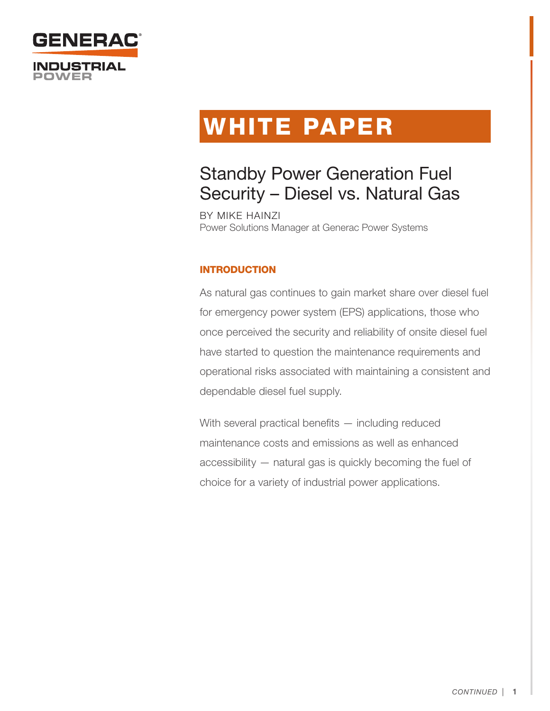

# WHITE PAPER

# Standby Power Generation Fuel Security – Diesel vs. Natural Gas

BY MIKE HAINZI Power Solutions Manager at Generac Power Systems

# INTRODUCTION

As natural gas continues to gain market share over diesel fuel for emergency power system (EPS) applications, those who once perceived the security and reliability of onsite diesel fuel have started to question the maintenance requirements and operational risks associated with maintaining a consistent and dependable diesel fuel supply.

With several practical benefits — including reduced maintenance costs and emissions as well as enhanced accessibility — natural gas is quickly becoming the fuel of choice for a variety of industrial power applications.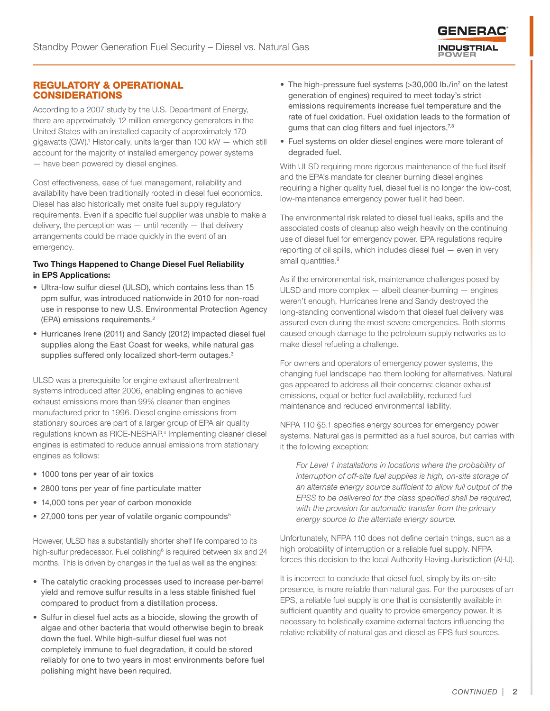

#### REGULATORY & OPERATIONAL CONSIDERATIONS

According to a 2007 study by the U.S. Department of Energy, there are approximately 12 million emergency generators in the United States with an installed capacity of approximately 170 gigawatts (GW).<sup>1</sup> Historically, units larger than 100 kW - which still account for the majority of installed emergency power systems — have been powered by diesel engines.

Cost effectiveness, ease of fuel management, reliability and availability have been traditionally rooted in diesel fuel economics. Diesel has also historically met onsite fuel supply regulatory requirements. Even if a specific fuel supplier was unable to make a delivery, the perception was  $-$  until recently  $-$  that delivery arrangements could be made quickly in the event of an emergency.

#### Two Things Happened to Change Diesel Fuel Reliability in EPS Applications:

- Ultra-low sulfur diesel (ULSD), which contains less than 15 ppm sulfur, was introduced nationwide in 2010 for non-road use in response to new U.S. Environmental Protection Agency (EPA) emissions requirements.2
- Hurricanes Irene (2011) and Sandy (2012) impacted diesel fuel supplies along the East Coast for weeks, while natural gas supplies suffered only localized short-term outages.<sup>3</sup>

ULSD was a prerequisite for engine exhaust aftertreatment systems introduced after 2006, enabling engines to achieve exhaust emissions more than 99% cleaner than engines manufactured prior to 1996. Diesel engine emissions from stationary sources are part of a larger group of EPA air quality regulations known as RICE-NESHAP.<sup>4</sup> Implementing cleaner diesel engines is estimated to reduce annual emissions from stationary engines as follows:

- 1000 tons per year of air toxics
- 2800 tons per year of fine particulate matter
- 14,000 tons per year of carbon monoxide
- 27,000 tons per year of volatile organic compounds<sup>5</sup>

However, ULSD has a substantially shorter shelf life compared to its high-sulfur predecessor. Fuel polishing<sup>6</sup> is required between six and 24 months. This is driven by changes in the fuel as well as the engines:

- The catalytic cracking processes used to increase per-barrel yield and remove sulfur results in a less stable finished fuel compared to product from a distillation process.
- Sulfur in diesel fuel acts as a biocide, slowing the growth of algae and other bacteria that would otherwise begin to break down the fuel. While high-sulfur diesel fuel was not completely immune to fuel degradation, it could be stored reliably for one to two years in most environments before fuel polishing might have been required.
- The high-pressure fuel systems (>30,000 lb./in<sup>2</sup> on the latest generation of engines) required to meet today's strict emissions requirements increase fuel temperature and the rate of fuel oxidation. Fuel oxidation leads to the formation of gums that can clog filters and fuel injectors.<sup>7,8</sup>
- Fuel systems on older diesel engines were more tolerant of degraded fuel.

With ULSD requiring more rigorous maintenance of the fuel itself and the EPA's mandate for cleaner burning diesel engines requiring a higher quality fuel, diesel fuel is no longer the low-cost, low-maintenance emergency power fuel it had been.

The environmental risk related to diesel fuel leaks, spills and the associated costs of cleanup also weigh heavily on the continuing use of diesel fuel for emergency power. EPA regulations require reporting of oil spills, which includes diesel fuel — even in very small quantities.<sup>9</sup>

As if the environmental risk, maintenance challenges posed by ULSD and more complex — albeit cleaner-burning — engines weren't enough, Hurricanes Irene and Sandy destroyed the long-standing conventional wisdom that diesel fuel delivery was assured even during the most severe emergencies. Both storms caused enough damage to the petroleum supply networks as to make diesel refueling a challenge.

For owners and operators of emergency power systems, the changing fuel landscape had them looking for alternatives. Natural gas appeared to address all their concerns: cleaner exhaust emissions, equal or better fuel availability, reduced fuel maintenance and reduced environmental liability.

NFPA 110 §5.1 specifies energy sources for emergency power systems. Natural gas is permitted as a fuel source, but carries with it the following exception:

*For Level 1 installations in locations where the probability of interruption of off-site fuel supplies is high, on-site storage of an alternate energy source sufficient to allow full output of the EPSS to be delivered for the class specified shall be required, with the provision for automatic transfer from the primary energy source to the alternate energy source.*

Unfortunately, NFPA 110 does not define certain things, such as a high probability of interruption or a reliable fuel supply. NFPA forces this decision to the local Authority Having Jurisdiction (AHJ).

It is incorrect to conclude that diesel fuel, simply by its on-site presence, is more reliable than natural gas. For the purposes of an EPS, a reliable fuel supply is one that is consistently available in sufficient quantity and quality to provide emergency power. It is necessary to holistically examine external factors influencing the relative reliability of natural gas and diesel as EPS fuel sources.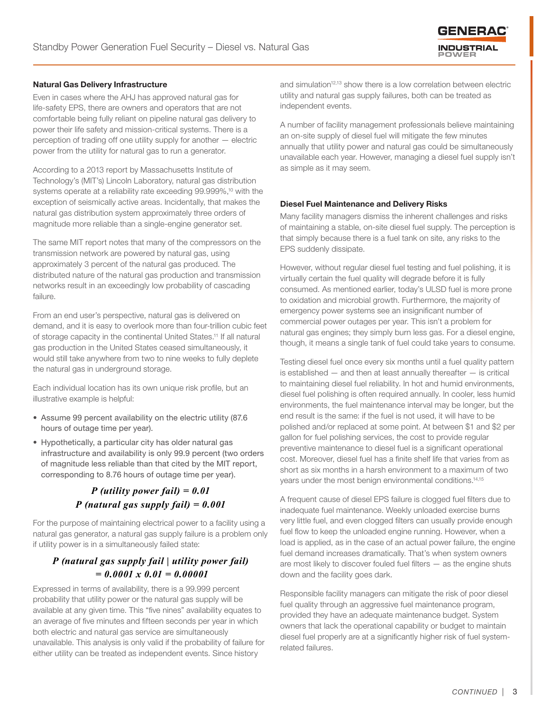

#### Natural Gas Delivery Infrastructure

Even in cases where the AHJ has approved natural gas for life-safety EPS, there are owners and operators that are not comfortable being fully reliant on pipeline natural gas delivery to power their life safety and mission-critical systems. There is a perception of trading off one utility supply for another — electric power from the utility for natural gas to run a generator.

According to a 2013 report by Massachusetts Institute of Technology's (MIT's) Lincoln Laboratory, natural gas distribution systems operate at a reliability rate exceeding 99.999%,<sup>10</sup> with the exception of seismically active areas. Incidentally, that makes the natural gas distribution system approximately three orders of magnitude more reliable than a single-engine generator set.

The same MIT report notes that many of the compressors on the transmission network are powered by natural gas, using approximately 3 percent of the natural gas produced. The distributed nature of the natural gas production and transmission networks result in an exceedingly low probability of cascading failure.

From an end user's perspective, natural gas is delivered on demand, and it is easy to overlook more than four-trillion cubic feet of storage capacity in the continental United States.<sup>11</sup> If all natural gas production in the United States ceased simultaneously, it would still take anywhere from two to nine weeks to fully deplete the natural gas in underground storage.

Each individual location has its own unique risk profile, but an illustrative example is helpful:

- Assume 99 percent availability on the electric utility (87.6 hours of outage time per year).
- Hypothetically, a particular city has older natural gas infrastructure and availability is only 99.9 percent (two orders of magnitude less reliable than that cited by the MIT report, corresponding to 8.76 hours of outage time per year).

# *P (utility power fail) = 0.01 P (natural gas supply fail) = 0.001*

For the purpose of maintaining electrical power to a facility using a natural gas generator, a natural gas supply failure is a problem only if utility power is in a simultaneously failed state:

# *P (natural gas supply fail | utility power fail) = 0.0001 x 0.01 = 0.00001*

Expressed in terms of availability, there is a 99.999 percent probability that utility power or the natural gas supply will be available at any given time. This "five nines" availability equates to an average of five minutes and fifteen seconds per year in which both electric and natural gas service are simultaneously unavailable. This analysis is only valid if the probability of failure for either utility can be treated as independent events. Since history

and simulation<sup>12,13</sup> show there is a low correlation between electric utility and natural gas supply failures, both can be treated as independent events.

A number of facility management professionals believe maintaining an on-site supply of diesel fuel will mitigate the few minutes annually that utility power and natural gas could be simultaneously unavailable each year. However, managing a diesel fuel supply isn't as simple as it may seem.

#### Diesel Fuel Maintenance and Delivery Risks

Many facility managers dismiss the inherent challenges and risks of maintaining a stable, on-site diesel fuel supply. The perception is that simply because there is a fuel tank on site, any risks to the EPS suddenly dissipate.

However, without regular diesel fuel testing and fuel polishing, it is virtually certain the fuel quality will degrade before it is fully consumed. As mentioned earlier, today's ULSD fuel is more prone to oxidation and microbial growth. Furthermore, the majority of emergency power systems see an insignificant number of commercial power outages per year. This isn't a problem for natural gas engines; they simply burn less gas. For a diesel engine, though, it means a single tank of fuel could take years to consume.

Testing diesel fuel once every six months until a fuel quality pattern is established  $-$  and then at least annually thereafter  $-$  is critical to maintaining diesel fuel reliability. In hot and humid environments, diesel fuel polishing is often required annually. In cooler, less humid environments, the fuel maintenance interval may be longer, but the end result is the same: if the fuel is not used, it will have to be polished and/or replaced at some point. At between \$1 and \$2 per gallon for fuel polishing services, the cost to provide regular preventive maintenance to diesel fuel is a significant operational cost. Moreover, diesel fuel has a finite shelf life that varies from as short as six months in a harsh environment to a maximum of two years under the most benign environmental conditions.<sup>14,15</sup>

A frequent cause of diesel EPS failure is clogged fuel filters due to inadequate fuel maintenance. Weekly unloaded exercise burns very little fuel, and even clogged filters can usually provide enough fuel flow to keep the unloaded engine running. However, when a load is applied, as in the case of an actual power failure, the engine fuel demand increases dramatically. That's when system owners are most likely to discover fouled fuel filters — as the engine shuts down and the facility goes dark.

Responsible facility managers can mitigate the risk of poor diesel fuel quality through an aggressive fuel maintenance program, provided they have an adequate maintenance budget. System owners that lack the operational capability or budget to maintain diesel fuel properly are at a significantly higher risk of fuel systemrelated failures.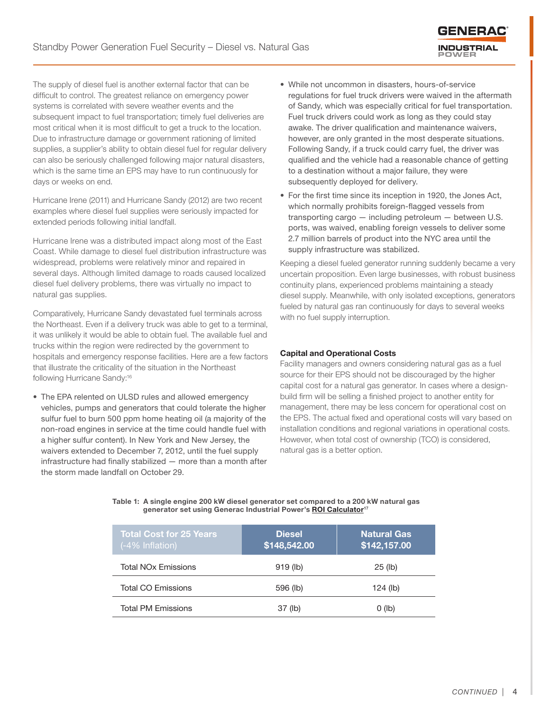The supply of diesel fuel is another external factor that can be difficult to control. The greatest reliance on emergency power systems is correlated with severe weather events and the subsequent impact to fuel transportation; timely fuel deliveries are most critical when it is most difficult to get a truck to the location. Due to infrastructure damage or government rationing of limited supplies, a supplier's ability to obtain diesel fuel for regular delivery can also be seriously challenged following major natural disasters, which is the same time an EPS may have to run continuously for days or weeks on end.

Hurricane Irene (2011) and Hurricane Sandy (2012) are two recent examples where diesel fuel supplies were seriously impacted for extended periods following initial landfall.

Hurricane Irene was a distributed impact along most of the East Coast. While damage to diesel fuel distribution infrastructure was widespread, problems were relatively minor and repaired in several days. Although limited damage to roads caused localized diesel fuel delivery problems, there was virtually no impact to natural gas supplies.

Comparatively, Hurricane Sandy devastated fuel terminals across the Northeast. Even if a delivery truck was able to get to a terminal, it was unlikely it would be able to obtain fuel. The available fuel and trucks within the region were redirected by the government to hospitals and emergency response facilities. Here are a few factors that illustrate the criticality of the situation in the Northeast following Hurricane Sandy:<sup>16</sup>

• The EPA relented on ULSD rules and allowed emergency vehicles, pumps and generators that could tolerate the higher sulfur fuel to burn 500 ppm home heating oil (a majority of the non-road engines in service at the time could handle fuel with a higher sulfur content). In New York and New Jersey, the waivers extended to December 7, 2012, until the fuel supply infrastructure had finally stabilized — more than a month after the storm made landfall on October 29.

• While not uncommon in disasters, hours-of-service regulations for fuel truck drivers were waived in the aftermath of Sandy, which was especially critical for fuel transportation. Fuel truck drivers could work as long as they could stay awake. The driver qualification and maintenance waivers, however, are only granted in the most desperate situations. Following Sandy, if a truck could carry fuel, the driver was qualified and the vehicle had a reasonable chance of getting to a destination without a major failure, they were subsequently deployed for delivery.

GENER, **INDUSTRIAL** 

• For the first time since its inception in 1920, the Jones Act, which normally prohibits foreign-flagged vessels from transporting cargo — including petroleum — between U.S. ports, was waived, enabling foreign vessels to deliver some 2.7 million barrels of product into the NYC area until the supply infrastructure was stabilized.

Keeping a diesel fueled generator running suddenly became a very uncertain proposition. Even large businesses, with robust business continuity plans, experienced problems maintaining a steady diesel supply. Meanwhile, with only isolated exceptions, generators fueled by natural gas ran continuously for days to several weeks with no fuel supply interruption.

#### Capital and Operational Costs

Facility managers and owners considering natural gas as a fuel source for their EPS should not be discouraged by the higher capital cost for a natural gas generator. In cases where a designbuild firm will be selling a finished project to another entity for management, there may be less concern for operational cost on the EPS. The actual fixed and operational costs will vary based on installation conditions and regional variations in operational costs. However, when total cost of ownership (TCO) is considered, natural gas is a better option.

| <b>Total Cost for 25 Years</b><br>(-4% Inflation) | <b>Diesel</b><br>\$148,542.00 | Natural Gas<br>\$142,157.00 |
|---------------------------------------------------|-------------------------------|-----------------------------|
| <b>Total NO<sub>x</sub></b> Emissions             | $919$ (lb)                    | $25$ (lb)                   |
| <b>Total CO Emissions</b>                         | 596 (lb)                      | $124$ (lb)                  |
| <b>Total PM Emissions</b>                         | 37 (lb)                       | $0$ (lb)                    |

Table 1: A single engine 200 kW diesel generator set compared to a 200 kW natural gas generator set using Generac Industrial Power's ROI Calculator<sup>17</sup>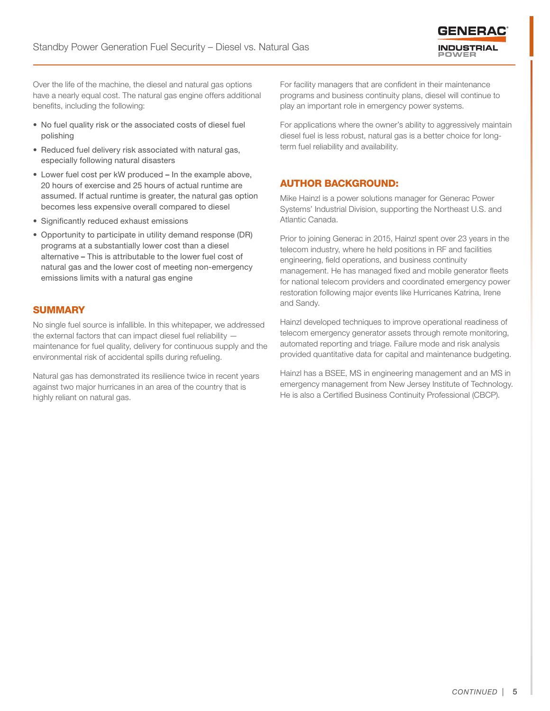

Over the life of the machine, the diesel and natural gas options have a nearly equal cost. The natural gas engine offers additional benefits, including the following:

- No fuel quality risk or the associated costs of diesel fuel polishing
- Reduced fuel delivery risk associated with natural gas, especially following natural disasters
- Lower fuel cost per kW produced In the example above, 20 hours of exercise and 25 hours of actual runtime are assumed. If actual runtime is greater, the natural gas option becomes less expensive overall compared to diesel
- Significantly reduced exhaust emissions
- Opportunity to participate in utility demand response (DR) programs at a substantially lower cost than a diesel alternative – This is attributable to the lower fuel cost of natural gas and the lower cost of meeting non-emergency emissions limits with a natural gas engine

## **SUMMARY**

No single fuel source is infallible. In this whitepaper, we addressed the external factors that can impact diesel fuel reliability maintenance for fuel quality, delivery for continuous supply and the environmental risk of accidental spills during refueling.

Natural gas has demonstrated its resilience twice in recent years against two major hurricanes in an area of the country that is highly reliant on natural gas.

For facility managers that are confident in their maintenance programs and business continuity plans, diesel will continue to play an important role in emergency power systems.

For applications where the owner's ability to aggressively maintain diesel fuel is less robust, natural gas is a better choice for longterm fuel reliability and availability.

## AUTHOR BACKGROUND:

Mike Hainzl is a power solutions manager for Generac Power Systems' Industrial Division, supporting the Northeast U.S. and Atlantic Canada.

Prior to joining Generac in 2015, Hainzl spent over 23 years in the telecom industry, where he held positions in RF and facilities engineering, field operations, and business continuity management. He has managed fixed and mobile generator fleets for national telecom providers and coordinated emergency power restoration following major events like Hurricanes Katrina, Irene and Sandy.

Hainzl developed techniques to improve operational readiness of telecom emergency generator assets through remote monitoring, automated reporting and triage. Failure mode and risk analysis provided quantitative data for capital and maintenance budgeting.

Hainzl has a BSEE, MS in engineering management and an MS in emergency management from New Jersey Institute of Technology. He is also a Certified Business Continuity Professional (CBCP).